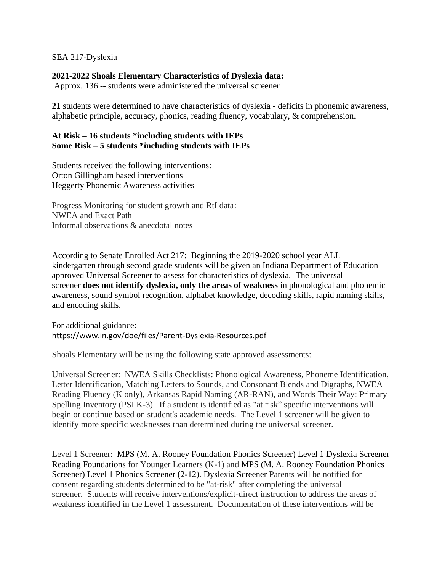## SEA 217-Dyslexia

## **2021-2022 Shoals Elementary Characteristics of Dyslexia data:**

Approx. 136 -- students were administered the universal screener

**21** students were determined to have characteristics of dyslexia - deficits in phonemic awareness, alphabetic principle, accuracy, phonics, reading fluency, vocabulary, & comprehension.

## **At Risk – 16 students \*including students with IEPs Some Risk – 5 students \*including students with IEPs**

Students received the following interventions: Orton Gillingham based interventions Heggerty Phonemic Awareness activities

Progress Monitoring for student growth and RtI data: NWEA and Exact Path Informal observations & anecdotal notes

According to Senate Enrolled Act 217: Beginning the 2019-2020 school year ALL kindergarten through second grade students will be given an Indiana Department of Education approved Universal Screener to assess for characteristics of dyslexia. The universal screener **does not identify dyslexia, only the areas of weakness** in phonological and phonemic awareness, sound symbol recognition, alphabet knowledge, decoding skills, rapid naming skills, and encoding skills.

For additional guidance: https://www.in.gov/doe/files/Parent-Dyslexia-Resources.pdf

Shoals Elementary will be using the following state approved assessments:

Universal Screener: NWEA Skills Checklists: Phonological Awareness, Phoneme Identification, Letter Identification, Matching Letters to Sounds, and Consonant Blends and Digraphs, NWEA Reading Fluency (K only), Arkansas Rapid Naming (AR-RAN), and Words Their Way: Primary Spelling Inventory (PSI K-3). If a student is identified as "at risk" specific interventions will begin or continue based on student's academic needs. The Level 1 screener will be given to identify more specific weaknesses than determined during the universal screener.

Level 1 Screener: MPS (M. A. Rooney Foundation Phonics Screener) Level 1 Dyslexia Screener Reading Foundations for Younger Learners (K-1) and MPS (M. A. Rooney Foundation Phonics Screener) Level 1 Phonics Screener (2-12). Dyslexia Screener Parents will be notified for consent regarding students determined to be "at-risk" after completing the universal screener. Students will receive interventions/explicit-direct instruction to address the areas of weakness identified in the Level 1 assessment. Documentation of these interventions will be